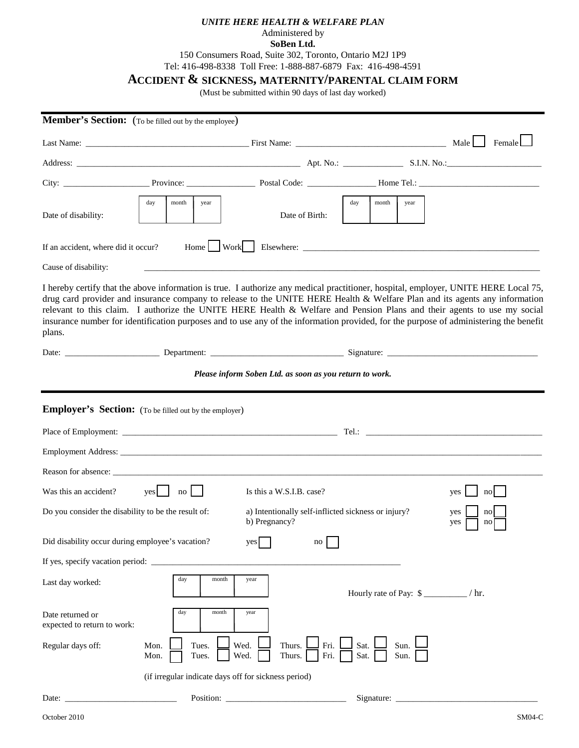## *UNITE HERE HEALTH & WELFARE PLAN*

## Administered by **SoBen Ltd.**

150 Consumers Road, Suite 302, Toronto, Ontario M2J 1P9

Tel: 416-498-8338 Toll Free: 1-888-887-6879 Fax: 416-498-4591

## **ACCIDENT & SICKNESS, MATERNITY/PARENTAL CLAIM FORM**

(Must be submitted within 90 days of last day worked)

| Member's Section: (To be filled out by the employee)                                                                                                  |                                                      |                                                         |                                                                                                                                                                                                                                                                                                                                                                                                                                                                                                                                       |           |  |  |  |
|-------------------------------------------------------------------------------------------------------------------------------------------------------|------------------------------------------------------|---------------------------------------------------------|---------------------------------------------------------------------------------------------------------------------------------------------------------------------------------------------------------------------------------------------------------------------------------------------------------------------------------------------------------------------------------------------------------------------------------------------------------------------------------------------------------------------------------------|-----------|--|--|--|
|                                                                                                                                                       |                                                      |                                                         |                                                                                                                                                                                                                                                                                                                                                                                                                                                                                                                                       |           |  |  |  |
|                                                                                                                                                       |                                                      |                                                         |                                                                                                                                                                                                                                                                                                                                                                                                                                                                                                                                       |           |  |  |  |
|                                                                                                                                                       |                                                      |                                                         |                                                                                                                                                                                                                                                                                                                                                                                                                                                                                                                                       |           |  |  |  |
| Date of disability:                                                                                                                                   | month<br>day<br>year                                 | Date of Birth:                                          | day<br>month<br>year                                                                                                                                                                                                                                                                                                                                                                                                                                                                                                                  |           |  |  |  |
| If an accident, where did it occur?                                                                                                                   | $Home \cup Work \cup$                                |                                                         |                                                                                                                                                                                                                                                                                                                                                                                                                                                                                                                                       |           |  |  |  |
| Cause of disability:                                                                                                                                  |                                                      |                                                         | <u> 1999 - Johann John Stein, marworth a bhaile ann an t-aistean an t-aistean an t-aistean an t-aistean an t-aist</u>                                                                                                                                                                                                                                                                                                                                                                                                                 |           |  |  |  |
| plans.                                                                                                                                                |                                                      |                                                         | I hereby certify that the above information is true. I authorize any medical practitioner, hospital, employer, UNITE HERE Local 75,<br>drug card provider and insurance company to release to the UNITE HERE Health & Welfare Plan and its agents any information<br>relevant to this claim. I authorize the UNITE HERE Health & Welfare and Pension Plans and their agents to use my social<br>insurance number for identification purposes and to use any of the information provided, for the purpose of administering the benefit |           |  |  |  |
|                                                                                                                                                       |                                                      |                                                         |                                                                                                                                                                                                                                                                                                                                                                                                                                                                                                                                       |           |  |  |  |
|                                                                                                                                                       |                                                      | Please inform Soben Ltd. as soon as you return to work. |                                                                                                                                                                                                                                                                                                                                                                                                                                                                                                                                       |           |  |  |  |
| <b>Employer's Section:</b> (To be filled out by the employer)                                                                                         |                                                      |                                                         |                                                                                                                                                                                                                                                                                                                                                                                                                                                                                                                                       |           |  |  |  |
|                                                                                                                                                       |                                                      |                                                         |                                                                                                                                                                                                                                                                                                                                                                                                                                                                                                                                       |           |  |  |  |
|                                                                                                                                                       |                                                      |                                                         |                                                                                                                                                                                                                                                                                                                                                                                                                                                                                                                                       |           |  |  |  |
|                                                                                                                                                       |                                                      |                                                         |                                                                                                                                                                                                                                                                                                                                                                                                                                                                                                                                       |           |  |  |  |
| Was this an accident?                                                                                                                                 | yes<br>no                                            | Is this a W.S.I.B. case?                                |                                                                                                                                                                                                                                                                                                                                                                                                                                                                                                                                       | no<br>yes |  |  |  |
| Do you consider the disability to be the result of:<br>a) Intentionally self-inflicted sickness or injury?<br>yes<br>no<br>b) Pregnancy?<br>yes<br>no |                                                      |                                                         |                                                                                                                                                                                                                                                                                                                                                                                                                                                                                                                                       |           |  |  |  |
| Did disability occur during employee's vacation?                                                                                                      |                                                      | yes<br>no                                               |                                                                                                                                                                                                                                                                                                                                                                                                                                                                                                                                       |           |  |  |  |
|                                                                                                                                                       |                                                      |                                                         |                                                                                                                                                                                                                                                                                                                                                                                                                                                                                                                                       |           |  |  |  |
| Last day worked:                                                                                                                                      | day<br>month                                         | year                                                    |                                                                                                                                                                                                                                                                                                                                                                                                                                                                                                                                       |           |  |  |  |
| Date returned or<br>expected to return to work:                                                                                                       | day<br>month                                         | year                                                    |                                                                                                                                                                                                                                                                                                                                                                                                                                                                                                                                       |           |  |  |  |
| Regular days off:                                                                                                                                     | Mon.<br>Tues.<br>Tues.<br>Mon.                       | Wed.<br>Thurs.<br>Fri.<br>Wed.<br>Thurs.<br>Fri.        | Sat.<br>Sun.<br>Sat.<br>Sun.                                                                                                                                                                                                                                                                                                                                                                                                                                                                                                          |           |  |  |  |
|                                                                                                                                                       | (if irregular indicate days off for sickness period) |                                                         |                                                                                                                                                                                                                                                                                                                                                                                                                                                                                                                                       |           |  |  |  |
| Date:                                                                                                                                                 |                                                      | Position:                                               | Signature:                                                                                                                                                                                                                                                                                                                                                                                                                                                                                                                            |           |  |  |  |